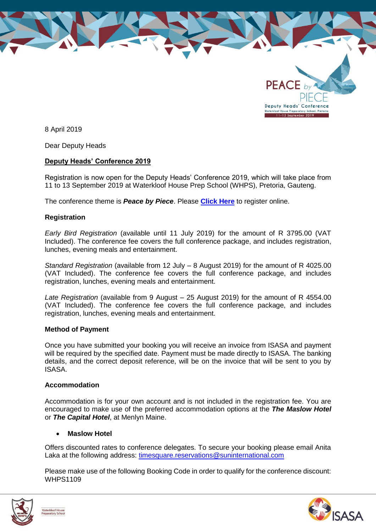

8 April 2019

Dear Deputy Heads

## **Deputy Heads' Conference 2019**

Registration is now open for the Deputy Heads' Conference 2019, which will take place from 11 to 13 September 2019 at Waterkloof House Prep School (WHPS), Pretoria, Gauteng.

The conference theme is *Peace by Piece*. Please **[Click Here](https://forms.gle/HbXU2J3NDbir9tsLA)** to register online.

## **Registration**

*Early Bird Registration* (available until 11 July 2019) for the amount of R 3795.00 (VAT Included). The conference fee covers the full conference package, and includes registration, lunches, evening meals and entertainment.

*Standard Registration* (available from 12 July – 8 August 2019) for the amount of R 4025.00 (VAT Included). The conference fee covers the full conference package, and includes registration, lunches, evening meals and entertainment.

*Late Registration* (available from 9 August – 25 August 2019) for the amount of R 4554.00 (VAT Included). The conference fee covers the full conference package, and includes registration, lunches, evening meals and entertainment.

#### **Method of Payment**

Once you have submitted your booking you will receive an invoice from ISASA and payment will be required by the specified date. Payment must be made directly to ISASA. The banking details, and the correct deposit reference, will be on the invoice that will be sent to you by ISASA.

#### **Accommodation**

Accommodation is for your own account and is not included in the registration fee. You are encouraged to make use of the preferred accommodation options at the *The Maslow Hotel* or *The Capital Hotel*, at Menlyn Maine.

## **Maslow Hotel**

Offers discounted rates to conference delegates. To secure your booking please email Anita Laka at the following address: [timesquare.reservations@suninternational.com](mailto:timesquare.reservations@suninternational.com)

Please make use of the following Booking Code in order to qualify for the conference discount: WHPS1109